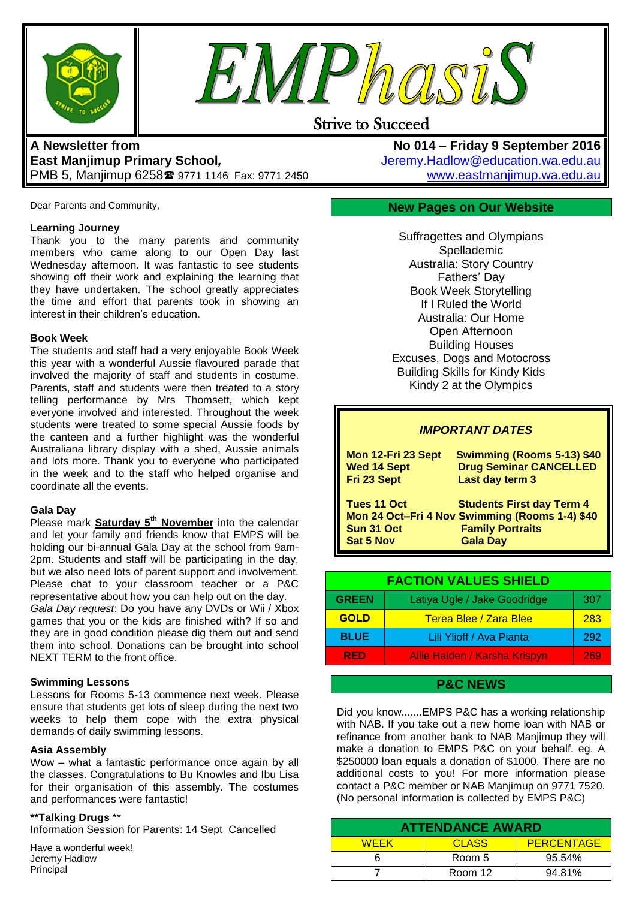



# Strive to Succeed

# **A Newsletter from East Manjimup Primary School***,*  PMB 5, Manjimup 6258 9771 1146 Fax: 9771 2450

Dear Parents and Community,

#### **Learning Journey**

Thank you to the many parents and community members who came along to our Open Day last Wednesday afternoon. It was fantastic to see students showing off their work and explaining the learning that they have undertaken. The school greatly appreciates the time and effort that parents took in showing an interest in their children's education.

#### **Book Week**

The students and staff had a very enjoyable Book Week this year with a wonderful Aussie flavoured parade that involved the majority of staff and students in costume. Parents, staff and students were then treated to a story telling performance by Mrs Thomsett, which kept everyone involved and interested. Throughout the week students were treated to some special Aussie foods by the canteen and a further highlight was the wonderful Australiana library display with a shed, Aussie animals and lots more. Thank you to everyone who participated in the week and to the staff who helped organise and coordinate all the events.

#### **Gala Day**

Please mark **Saturday 5th November** into the calendar and let your family and friends know that EMPS will be holding our bi-annual Gala Day at the school from 9am-2pm. Students and staff will be participating in the day, but we also need lots of parent support and involvement. Please chat to your classroom teacher or a P&C representative about how you can help out on the day.

*Gala Day request*: Do you have any DVDs or Wii / Xbox games that you or the kids are finished with? If so and they are in good condition please dig them out and send them into school. Donations can be brought into school NEXT TERM to the front office.

#### **Swimming Lessons**

Lessons for Rooms 5-13 commence next week. Please ensure that students get lots of sleep during the next two weeks to help them cope with the extra physical demands of daily swimming lessons.

#### **Asia Assembly**

Wow – what a fantastic performance once again by all the classes. Congratulations to Bu Knowles and Ibu Lisa for their organisation of this assembly. The costumes and performances were fantastic!

#### **\*\*Talking Drugs** \*\*

Information Session for Parents: 14 Sept Cancelled

Have a wonderful week! Jeremy Hadlow Principal

**No 014 – Friday 9 September 2016** [Jeremy.Hadlow@education.wa.edu.au](mailto:Jeremy.Hadlow@education.wa.edu.au) [www.eastmanjimup.wa.edu.au](http://www.eastmanjimup.wa.edu.au/)

## **New Pages on Our Website**

Suffragettes and Olympians Spellademic Australia: Story Country Fathers' Day Book Week Storytelling If I Ruled the World Australia: Our Home Open Afternoon Building Houses Excuses, Dogs and Motocross Building Skills for Kindy Kids Kindy 2 at the Olympics

## *IMPORTANT DATES*

| Mon 12-Fri 23 Sept                            | <b>Swimming (Rooms 5-13) \$40</b>                                                                                                |
|-----------------------------------------------|----------------------------------------------------------------------------------------------------------------------------------|
| <b>Wed 14 Sept</b>                            | <b>Drug Seminar CANCELLED</b>                                                                                                    |
| Fri 23 Sept                                   | Last day term 3                                                                                                                  |
| Tues 11 Oct<br>Sun 31 Oct<br><b>Sat 5 Nov</b> | <b>Students First day Term 4</b><br>Mon 24 Oct-Fri 4 Nov Swimming (Rooms 1-4) \$40<br><b>Family Portraits</b><br><b>Gala Day</b> |

| <b>FACTION VALUES SHIELD</b> |                               |     |
|------------------------------|-------------------------------|-----|
| <b>GREEN</b>                 | Latiya Ugle / Jake Goodridge  | 307 |
| <b>GOLD</b>                  | Terea Blee / Zara Blee        | 283 |
| <b>BLUE</b>                  | Lili Ylioff / Ava Pianta      | 292 |
| <b>RED</b>                   | Allie Halden / Karsha Krispyn | 269 |

## **P&C NEWS**

Did you know.......EMPS P&C has a working relationship with NAB. If you take out a new home loan with NAB or refinance from another bank to NAB Manjimup they will make a donation to EMPS P&C on your behalf. eg. A \$250000 loan equals a donation of \$1000. There are no additional costs to you! For more information please contact a P&C member or NAB Manjimup on 9771 7520. (No personal information is collected by EMPS P&C)

| <b>ATTENDANCE AWARD</b> |              |                   |  |
|-------------------------|--------------|-------------------|--|
| <b>WFFK</b>             | <b>CLASS</b> | <b>PERCENTAGE</b> |  |
|                         | Room 5       | 95.54%            |  |
|                         | Room 12      | 94.81%            |  |